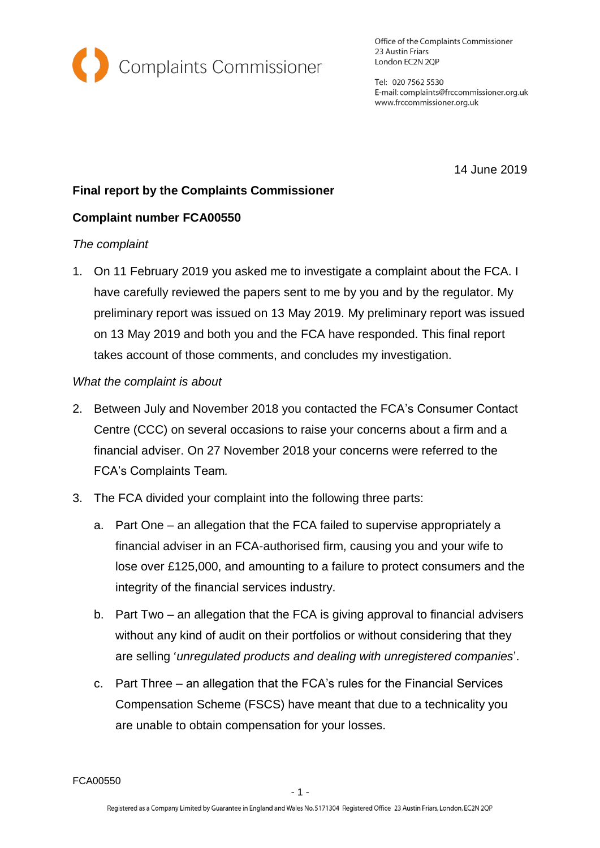

Office of the Complaints Commissioner 23 Austin Friars London EC2N 2QP

Tel: 020 7562 5530 E-mail: complaints@frccommissioner.org.uk www.frccommissioner.org.uk

14 June 2019

# **Final report by the Complaints Commissioner**

# **Complaint number FCA00550**

## *The complaint*

1. On 11 February 2019 you asked me to investigate a complaint about the FCA. I have carefully reviewed the papers sent to me by you and by the regulator. My preliminary report was issued on 13 May 2019. My preliminary report was issued on 13 May 2019 and both you and the FCA have responded. This final report takes account of those comments, and concludes my investigation.

## *What the complaint is about*

- 2. Between July and November 2018 you contacted the FCA's Consumer Contact Centre (CCC) on several occasions to raise your concerns about a firm and a financial adviser. On 27 November 2018 your concerns were referred to the FCA's Complaints Team*.*
- 3. The FCA divided your complaint into the following three parts:
	- a. Part One an allegation that the FCA failed to supervise appropriately a financial adviser in an FCA-authorised firm, causing you and your wife to lose over £125,000, and amounting to a failure to protect consumers and the integrity of the financial services industry.
	- b. Part Two an allegation that the FCA is giving approval to financial advisers without any kind of audit on their portfolios or without considering that they are selling '*unregulated products and dealing with unregistered companies*'.
	- c. Part Three an allegation that the FCA's rules for the Financial Services Compensation Scheme (FSCS) have meant that due to a technicality you are unable to obtain compensation for your losses.

FCA00550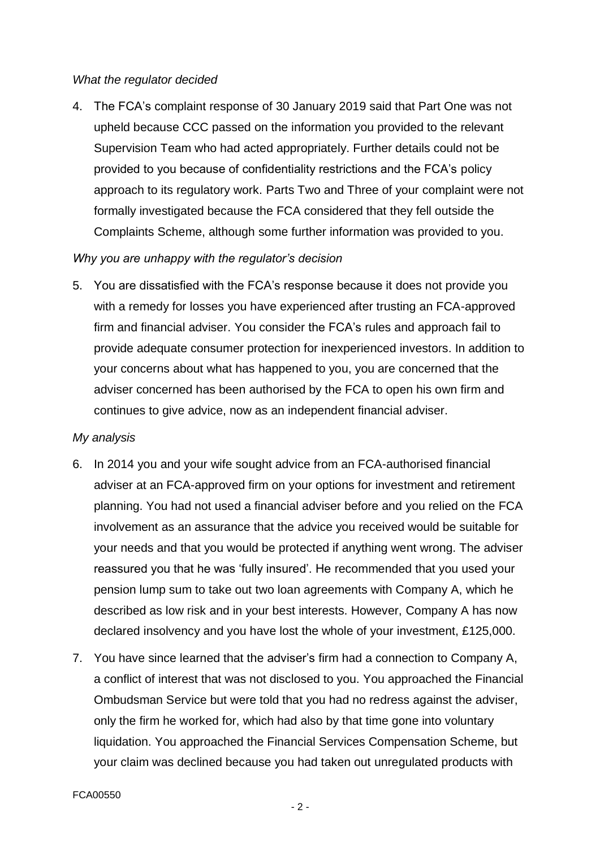#### *What the regulator decided*

4. The FCA's complaint response of 30 January 2019 said that Part One was not upheld because CCC passed on the information you provided to the relevant Supervision Team who had acted appropriately. Further details could not be provided to you because of confidentiality restrictions and the FCA's policy approach to its regulatory work. Parts Two and Three of your complaint were not formally investigated because the FCA considered that they fell outside the Complaints Scheme, although some further information was provided to you.

## *Why you are unhappy with the regulator's decision*

5. You are dissatisfied with the FCA's response because it does not provide you with a remedy for losses you have experienced after trusting an FCA-approved firm and financial adviser. You consider the FCA's rules and approach fail to provide adequate consumer protection for inexperienced investors. In addition to your concerns about what has happened to you, you are concerned that the adviser concerned has been authorised by the FCA to open his own firm and continues to give advice, now as an independent financial adviser.

### *My analysis*

- 6. In 2014 you and your wife sought advice from an FCA-authorised financial adviser at an FCA-approved firm on your options for investment and retirement planning. You had not used a financial adviser before and you relied on the FCA involvement as an assurance that the advice you received would be suitable for your needs and that you would be protected if anything went wrong. The adviser reassured you that he was 'fully insured'. He recommended that you used your pension lump sum to take out two loan agreements with Company A, which he described as low risk and in your best interests. However, Company A has now declared insolvency and you have lost the whole of your investment, £125,000.
- 7. You have since learned that the adviser's firm had a connection to Company A, a conflict of interest that was not disclosed to you. You approached the Financial Ombudsman Service but were told that you had no redress against the adviser, only the firm he worked for, which had also by that time gone into voluntary liquidation. You approached the Financial Services Compensation Scheme, but your claim was declined because you had taken out unregulated products with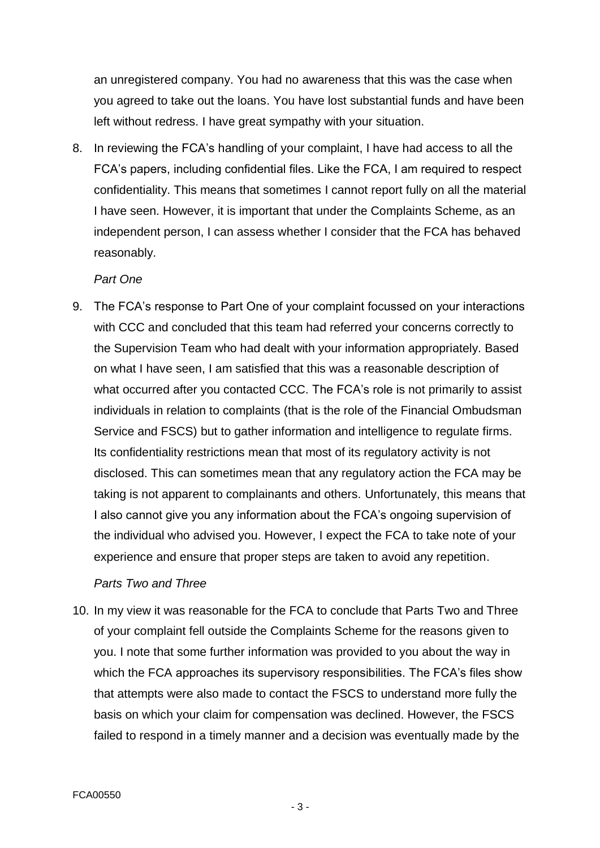an unregistered company. You had no awareness that this was the case when you agreed to take out the loans. You have lost substantial funds and have been left without redress. I have great sympathy with your situation.

8. In reviewing the FCA's handling of your complaint, I have had access to all the FCA's papers, including confidential files. Like the FCA, I am required to respect confidentiality. This means that sometimes I cannot report fully on all the material I have seen. However, it is important that under the Complaints Scheme, as an independent person, I can assess whether I consider that the FCA has behaved reasonably.

#### *Part One*

9. The FCA's response to Part One of your complaint focussed on your interactions with CCC and concluded that this team had referred your concerns correctly to the Supervision Team who had dealt with your information appropriately. Based on what I have seen, I am satisfied that this was a reasonable description of what occurred after you contacted CCC. The FCA's role is not primarily to assist individuals in relation to complaints (that is the role of the Financial Ombudsman Service and FSCS) but to gather information and intelligence to regulate firms. Its confidentiality restrictions mean that most of its regulatory activity is not disclosed. This can sometimes mean that any regulatory action the FCA may be taking is not apparent to complainants and others. Unfortunately, this means that I also cannot give you any information about the FCA's ongoing supervision of the individual who advised you. However, I expect the FCA to take note of your experience and ensure that proper steps are taken to avoid any repetition.

### *Parts Two and Three*

10. In my view it was reasonable for the FCA to conclude that Parts Two and Three of your complaint fell outside the Complaints Scheme for the reasons given to you. I note that some further information was provided to you about the way in which the FCA approaches its supervisory responsibilities. The FCA's files show that attempts were also made to contact the FSCS to understand more fully the basis on which your claim for compensation was declined. However, the FSCS failed to respond in a timely manner and a decision was eventually made by the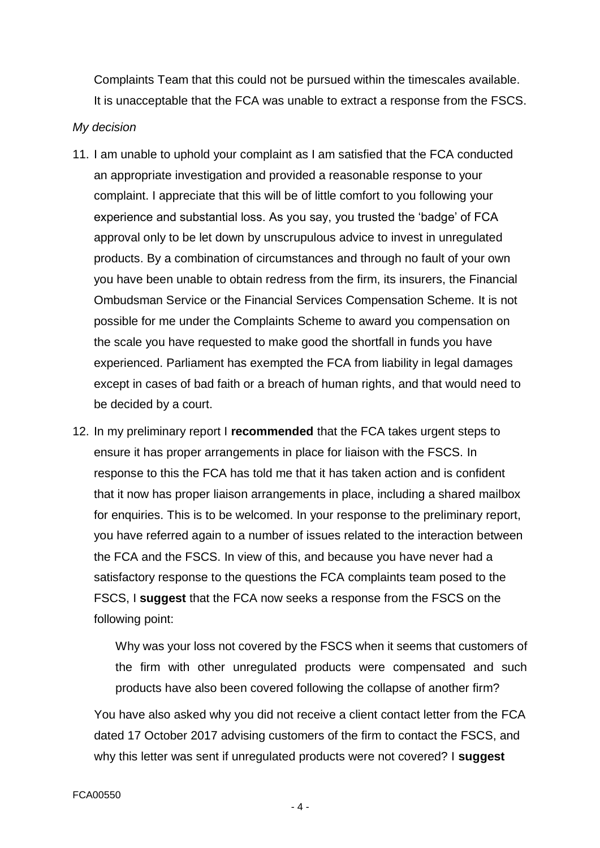Complaints Team that this could not be pursued within the timescales available. It is unacceptable that the FCA was unable to extract a response from the FSCS.

#### *My decision*

- 11. I am unable to uphold your complaint as I am satisfied that the FCA conducted an appropriate investigation and provided a reasonable response to your complaint. I appreciate that this will be of little comfort to you following your experience and substantial loss. As you say, you trusted the 'badge' of FCA approval only to be let down by unscrupulous advice to invest in unregulated products. By a combination of circumstances and through no fault of your own you have been unable to obtain redress from the firm, its insurers, the Financial Ombudsman Service or the Financial Services Compensation Scheme. It is not possible for me under the Complaints Scheme to award you compensation on the scale you have requested to make good the shortfall in funds you have experienced. Parliament has exempted the FCA from liability in legal damages except in cases of bad faith or a breach of human rights, and that would need to be decided by a court.
- 12. In my preliminary report I **recommended** that the FCA takes urgent steps to ensure it has proper arrangements in place for liaison with the FSCS. In response to this the FCA has told me that it has taken action and is confident that it now has proper liaison arrangements in place, including a shared mailbox for enquiries. This is to be welcomed. In your response to the preliminary report, you have referred again to a number of issues related to the interaction between the FCA and the FSCS. In view of this, and because you have never had a satisfactory response to the questions the FCA complaints team posed to the FSCS, I **suggest** that the FCA now seeks a response from the FSCS on the following point:

Why was your loss not covered by the FSCS when it seems that customers of the firm with other unregulated products were compensated and such products have also been covered following the collapse of another firm?

You have also asked why you did not receive a client contact letter from the FCA dated 17 October 2017 advising customers of the firm to contact the FSCS, and why this letter was sent if unregulated products were not covered? I **suggest**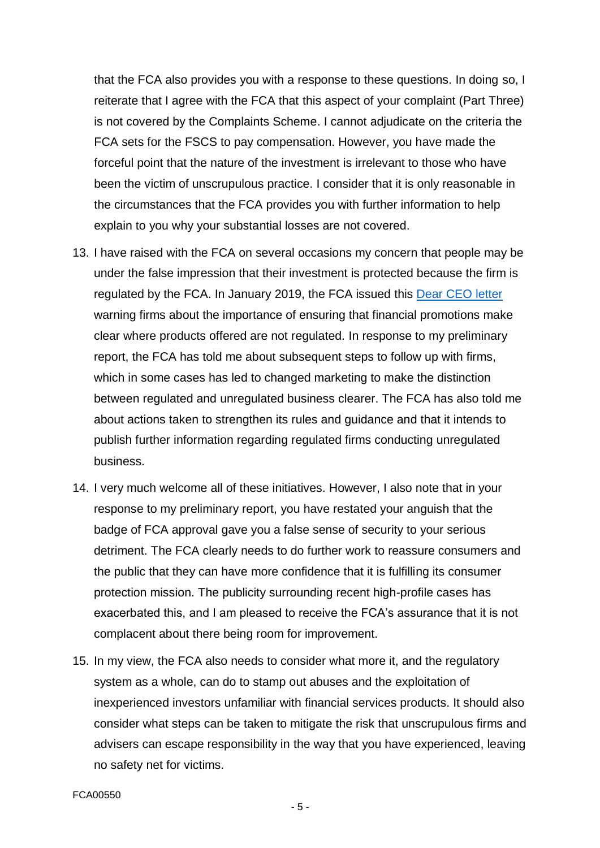that the FCA also provides you with a response to these questions. In doing so, I reiterate that I agree with the FCA that this aspect of your complaint (Part Three) is not covered by the Complaints Scheme. I cannot adjudicate on the criteria the FCA sets for the FSCS to pay compensation. However, you have made the forceful point that the nature of the investment is irrelevant to those who have been the victim of unscrupulous practice. I consider that it is only reasonable in the circumstances that the FCA provides you with further information to help explain to you why your substantial losses are not covered.

- 13. I have raised with the FCA on several occasions my concern that people may be under the false impression that their investment is protected because the firm is regulated by the FCA. In January 2019, the FCA issued this [Dear CEO letter](https://www.fca.org.uk/news/news-stories/dear-ceo-letter-financial-promotions) warning firms about the importance of ensuring that financial promotions make clear where products offered are not regulated. In response to my preliminary report, the FCA has told me about subsequent steps to follow up with firms, which in some cases has led to changed marketing to make the distinction between regulated and unregulated business clearer. The FCA has also told me about actions taken to strengthen its rules and guidance and that it intends to publish further information regarding regulated firms conducting unregulated business.
- 14. I very much welcome all of these initiatives. However, I also note that in your response to my preliminary report, you have restated your anguish that the badge of FCA approval gave you a false sense of security to your serious detriment. The FCA clearly needs to do further work to reassure consumers and the public that they can have more confidence that it is fulfilling its consumer protection mission. The publicity surrounding recent high-profile cases has exacerbated this, and I am pleased to receive the FCA's assurance that it is not complacent about there being room for improvement.
- 15. In my view, the FCA also needs to consider what more it, and the regulatory system as a whole, can do to stamp out abuses and the exploitation of inexperienced investors unfamiliar with financial services products. It should also consider what steps can be taken to mitigate the risk that unscrupulous firms and advisers can escape responsibility in the way that you have experienced, leaving no safety net for victims.